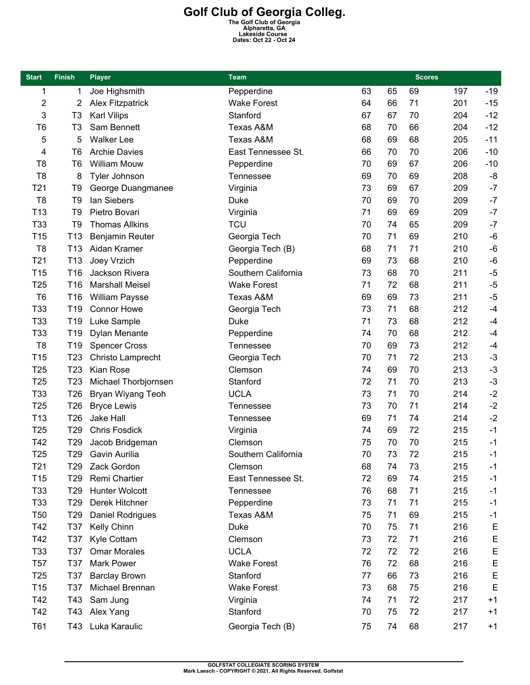## **Golf Club of Georgia Colleg.**<br>
The Golf Club of Georgia<br>
Alpharetta, GA<br>
Lakeside Course<br>
Dates: Oct 22 - Oct 24

| <b>Start</b>            | <b>Finish</b>   | <b>Player</b>           | <b>Team</b>          |    |    | <b>Scores</b> |     |             |
|-------------------------|-----------------|-------------------------|----------------------|----|----|---------------|-----|-------------|
| 1                       | 1               | Joe Highsmith           | Pepperdine           | 63 | 65 | 69            | 197 | $-19$       |
| $\overline{\mathbf{c}}$ | 2               | <b>Alex Fitzpatrick</b> | <b>Wake Forest</b>   | 64 | 66 | 71            | 201 | $-15$       |
| 3                       | T <sub>3</sub>  | <b>Karl Vilips</b>      | Stanford             | 67 | 67 | 70            | 204 | $-12$       |
| T <sub>6</sub>          | T <sub>3</sub>  | Sam Bennett             | <b>Texas A&amp;M</b> | 68 | 70 | 66            | 204 | $-12$       |
| 5                       | 5               | <b>Walker Lee</b>       | <b>Texas A&amp;M</b> | 68 | 69 | 68            | 205 | $-11$       |
| 4                       | T <sub>6</sub>  | <b>Archie Davies</b>    | East Tennessee St.   | 66 | 70 | 70            | 206 | $-10$       |
| T8                      | T <sub>6</sub>  | <b>William Mouw</b>     | Pepperdine           | 70 | 69 | 67            | 206 | $-10$       |
| T <sub>8</sub>          | 8               | Tyler Johnson           | Tennessee            | 69 | 70 | 69            | 208 | -8          |
| T <sub>21</sub>         | T <sub>9</sub>  | George Duangmanee       | Virginia             | 73 | 69 | 67            | 209 | $-7$        |
| T <sub>8</sub>          | T <sub>9</sub>  | lan Siebers             | Duke                 | 70 | 69 | 70            | 209 | $-7$        |
| T <sub>13</sub>         | T <sub>9</sub>  | Pietro Bovari           | Virginia             | 71 | 69 | 69            | 209 | $-7$        |
| T33                     | T <sub>9</sub>  | <b>Thomas Allkins</b>   | <b>TCU</b>           | 70 | 74 | 65            | 209 | $-7$        |
| T <sub>15</sub>         | T <sub>13</sub> | Benjamin Reuter         | Georgia Tech         | 70 | 71 | 69            | 210 | $-6$        |
| T <sub>8</sub>          | T <sub>13</sub> | Aidan Kramer            | Georgia Tech (B)     | 68 | 71 | 71            | 210 | $-6$        |
| T <sub>21</sub>         | T <sub>13</sub> | Joey Vrzich             | Pepperdine           | 69 | 73 | 68            | 210 | $-6$        |
| T <sub>15</sub>         | T16             | Jackson Rivera          | Southern California  | 73 | 68 | 70            | 211 | $-5$        |
| T <sub>25</sub>         | T16             | <b>Marshall Meisel</b>  | <b>Wake Forest</b>   | 71 | 72 | 68            | 211 | $-5$        |
| T <sub>6</sub>          | T <sub>16</sub> | <b>William Paysse</b>   | <b>Texas A&amp;M</b> | 69 | 69 | 73            | 211 | $-5$        |
| T33                     | T19             | <b>Connor Howe</b>      | Georgia Tech         | 73 | 71 | 68            | 212 | $-4$        |
| T33                     | T <sub>19</sub> | Luke Sample             | Duke                 | 71 | 73 | 68            | 212 | $-4$        |
| T33                     | T <sub>19</sub> | Dylan Menante           | Pepperdine           | 74 | 70 | 68            | 212 | $-4$        |
| T <sub>8</sub>          | T19             | <b>Spencer Cross</b>    | Tennessee            | 70 | 69 | 73            | 212 | $-4$        |
| T <sub>15</sub>         | T <sub>23</sub> | Christo Lamprecht       | Georgia Tech         | 70 | 71 | 72            | 213 | $-3$        |
| T <sub>25</sub>         | T <sub>23</sub> | Kian Rose               | Clemson              | 74 | 69 | 70            | 213 | $-3$        |
| T <sub>25</sub>         | T <sub>23</sub> | Michael Thorbjornsen    | Stanford             | 72 | 71 | 70            | 213 | $-3$        |
| T33                     | T <sub>26</sub> | Bryan Wiyang Teoh       | <b>UCLA</b>          | 73 | 71 | 70            | 214 | $-2$        |
| T <sub>25</sub>         | T <sub>26</sub> | <b>Bryce Lewis</b>      | Tennessee            | 73 | 70 | 71            | 214 | $-2$        |
| T <sub>13</sub>         | T <sub>26</sub> | Jake Hall               | Tennessee            | 69 | 71 | 74            | 214 | $-2$        |
| T <sub>25</sub>         | T <sub>29</sub> | <b>Chris Fosdick</b>    | Virginia             | 74 | 69 | 72            | 215 | $-1$        |
| T42                     | T29             | Jacob Bridgeman         | Clemson              | 75 | 70 | 70            | 215 | $-1$        |
| T <sub>25</sub>         | T <sub>29</sub> | Gavin Aurilia           | Southern California  | 70 | 73 | 72            | 215 | $-1$        |
| T <sub>21</sub>         | T <sub>29</sub> | Zack Gordon             | Clemson              | 68 | 74 | 73            | 215 | $-1$        |
| T <sub>15</sub>         | T <sub>29</sub> | Remi Chartier           | East Tennessee St.   | 72 | 69 | 74            | 215 | $-1$        |
| T33                     | T <sub>29</sub> | <b>Hunter Wolcott</b>   | Tennessee            | 76 | 68 | 71            | 215 | $-1$        |
| T33                     | T <sub>29</sub> | Derek Hitchner          | Pepperdine           | 73 | 71 | 71            | 215 | $-1$        |
| <b>T50</b>              | T <sub>29</sub> | <b>Daniel Rodrigues</b> | <b>Texas A&amp;M</b> | 75 | 71 | 69            | 215 | $-1$        |
| T42                     | T37             | Kelly Chinn             | <b>Duke</b>          | 70 | 75 | 71            | 216 | E           |
| T42                     | T37             | Kyle Cottam             | Clemson              | 73 | 72 | 71            | 216 | E           |
| T <sub>33</sub>         | T37             | <b>Omar Morales</b>     | <b>UCLA</b>          | 72 | 72 | 72            | 216 | E           |
| <b>T57</b>              | T37             | <b>Mark Power</b>       | <b>Wake Forest</b>   | 76 | 72 | 68            | 216 | E           |
| T <sub>25</sub>         | T37             | <b>Barclay Brown</b>    | Stanford             | 77 | 66 | 73            | 216 | E           |
| T <sub>15</sub>         | T37             | Michael Brennan         | <b>Wake Forest</b>   | 73 | 68 | 75            | 216 | $\mathsf E$ |
| T42                     | T43             | Sam Jung                | Virginia             | 74 | 71 | 72            | 217 | $+1$        |
| T42                     | T43             | Alex Yang               | Stanford             | 70 | 75 | 72            | 217 | $+1$        |
| T61                     | T43             | Luka Karaulic           | Georgia Tech (B)     | 75 | 74 | 68            | 217 | $+1$        |